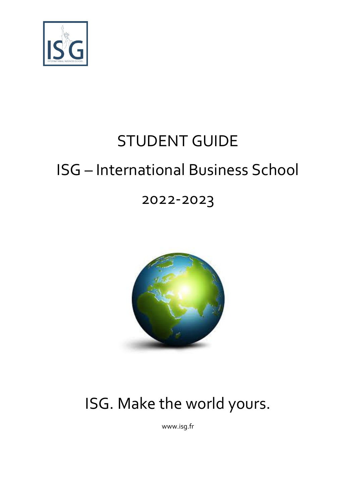

# STUDENT GUIDE ISG – International Business School

## 2022-2023



## ISG. Make the world yours.

www.isg.fr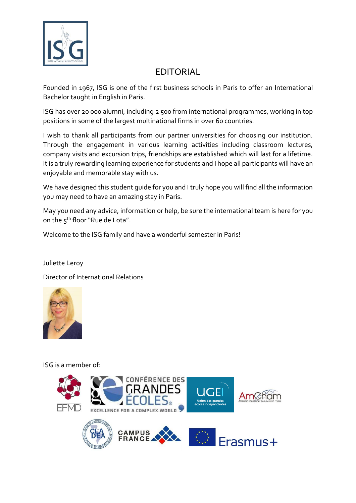

## EDITORIAL

Founded in 1967, ISG is one of the first business schools in Paris to offer an International Bachelor taught in English in Paris.

ISG has over 20 000 alumni, including 2 500 from international programmes, working in top positions in some of the largest multinational firms in over 60 countries.

I wish to thank all participants from our partner universities for choosing our institution. Through the engagement in various learning activities including classroom lectures, company visits and excursion trips, friendships are established which will last for a lifetime. It is a truly rewarding learning experience for students and I hope all participants will have an enjoyable and memorable stay with us.

We have designed this student guide for you and I truly hope you will find all the information you may need to have an amazing stay in Paris.

May you need any advice, information or help, be sure the international team is here for you on the 5<sup>th</sup> floor "Rue de Lota".

Welcome to the ISG family and have a wonderful semester in Paris!

Juliette Leroy

Director of International Relations



ISG is a member of:

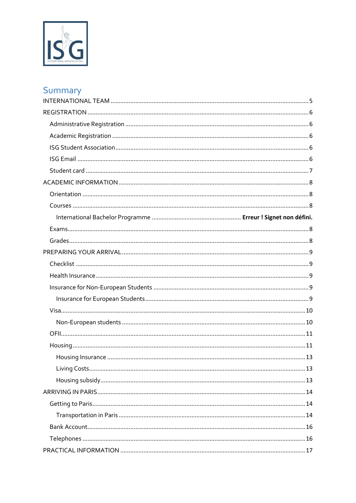

## Summary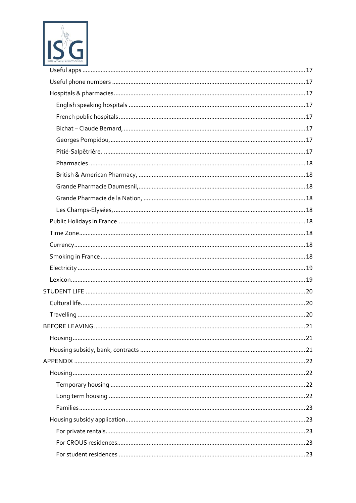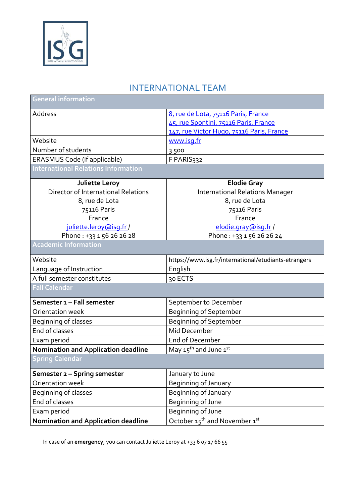

## INTERNATIONAL TEAM

<span id="page-4-0"></span>

| General information                        |                                                      |  |
|--------------------------------------------|------------------------------------------------------|--|
| Address                                    | 8, rue de Lota, 75116 Paris, France                  |  |
|                                            | 45, rue Spontini, 75116 Paris, France                |  |
|                                            | 147, rue Victor Hugo, 75116 Paris, France            |  |
| Website                                    | www.isq.fr                                           |  |
| Number of students                         | 3500                                                 |  |
| ERASMUS Code (if applicable)               | F PARIS332                                           |  |
| <b>International Relations Information</b> |                                                      |  |
| Juliette Leroy                             | <b>Elodie Gray</b>                                   |  |
| Director of International Relations        | <b>International Relations Manager</b>               |  |
| 8, rue de Lota                             | 8, rue de Lota                                       |  |
| 75116 Paris                                | 75116 Paris                                          |  |
| France                                     | France                                               |  |
| juliette.leroy@isg.fr/                     | elodie.gray@isg.fr /                                 |  |
| Phone: +33 1 56 26 26 28                   | Phone: +33 1 56 26 26 24                             |  |
| <b>Academic Information</b>                |                                                      |  |
| Website                                    | https://www.isg.fr/international/etudiants-etrangers |  |
| Language of Instruction                    | English                                              |  |
| A full semester constitutes                | 30 ECTS                                              |  |
| <b>Fall Calendar</b>                       |                                                      |  |
| Semester 1 - Fall semester                 | September to December                                |  |
| Orientation week                           | Beginning of September                               |  |
| Beginning of classes                       | <b>Beginning of September</b>                        |  |
| End of classes                             | Mid December                                         |  |
| Exam period                                | End of December                                      |  |
| <b>Nomination and Application deadline</b> | May 15 <sup>th</sup> and June 1st                    |  |
| <b>Spring Calendar</b>                     |                                                      |  |
| Semester 2 - Spring semester               | January to June                                      |  |
| Orientation week                           | Beginning of January                                 |  |
| Beginning of classes                       | Beginning of January                                 |  |
| End of classes                             | Beginning of June                                    |  |
| Exam period                                | Beginning of June                                    |  |
| Nomination and Application deadline        | October 15 <sup>th</sup> and November 1st            |  |

In case of an **emergency**, you can contact Juliette Leroy at +33 6 07 17 66 55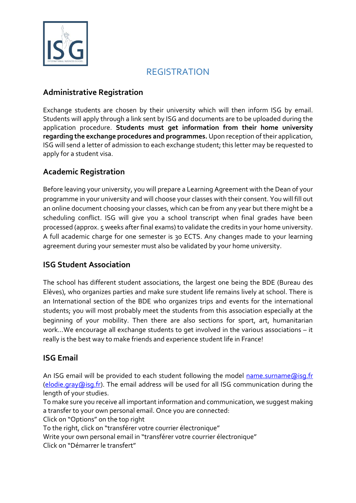

## REGISTRATION

#### <span id="page-5-1"></span><span id="page-5-0"></span>**Administrative Registration**

Exchange students are chosen by their university which will then inform ISG by email. Students will apply through a link sent by ISG and documents are to be uploaded during the application procedure. **Students must get information from their home university regarding the exchange procedures and programmes.** Upon reception of their application, ISG will send a letter of admission to each exchange student; this letter may be requested to apply for a student visa.

#### <span id="page-5-2"></span>**Academic Registration**

Before leaving your university, you will prepare a Learning Agreement with the Dean of your programme in your university and will choose your classes with their consent. You will fill out an online document choosing your classes, which can be from any year but there might be a scheduling conflict. ISG will give you a school transcript when final grades have been processed (approx. 5 weeks after final exams) to validate the credits in your home university. A full academic charge for one semester is 30 ECTS. Any changes made to your learning agreement during your semester must also be validated by your home university.

#### <span id="page-5-3"></span>**ISG Student Association**

The school has different student associations, the largest one being the BDE (Bureau des Elèves), who organizes parties and make sure student life remains lively at school. There is an International section of the BDE who organizes trips and events for the international students; you will most probably meet the students from this association especially at the beginning of your mobility. Then there are also sections for sport, art, humanitarian work…We encourage all exchange students to get involved in the various associations – it really is the best way to make friends and experience student life in France!

#### <span id="page-5-4"></span>**ISG Email**

An ISG email will be provided to each student following the model [name.surname@isg.fr](mailto:name.surname@isg.fr) [\(elodie.gray@isg.fr\)](mailto:elodie.gray@isg.fr). The email address will be used for all ISG communication during the length of your studies.

To make sure you receive all important information and communication, we suggest making a transfer to your own personal email. Once you are connected:

Click on "Options" on the top right

To the right, click on "transférer votre courrier électronique"

Write your own personal email in "transférer votre courrier électronique"

Click on "Démarrer le transfert"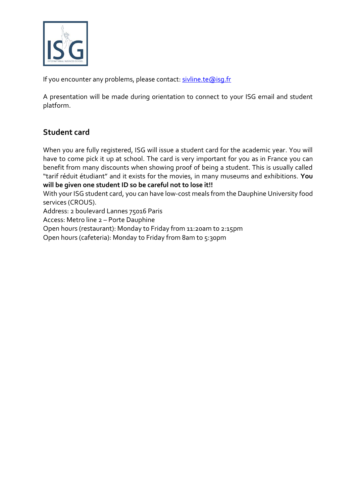

If you encounter any problems, please contact: sivline.te@isq.fr

A presentation will be made during orientation to connect to your ISG email and student platform.

#### <span id="page-6-0"></span>**Student card**

When you are fully registered, ISG will issue a student card for the academic year. You will have to come pick it up at school. The card is very important for you as in France you can benefit from many discounts when showing proof of being a student. This is usually called "tarif réduit étudiant" and it exists for the movies, in many museums and exhibitions. **You will be given one student ID so be careful not to lose it!!**

With your ISG student card, you can have low-cost meals from the Dauphine University food services (CROUS).

Address: 2 boulevard Lannes 75016 Paris

Access: Metro line 2 – Porte Dauphine

Open hours (restaurant): Monday to Friday from 11:20am to 2:15pm

Open hours (cafeteria): Monday to Friday from 8am to 5:30pm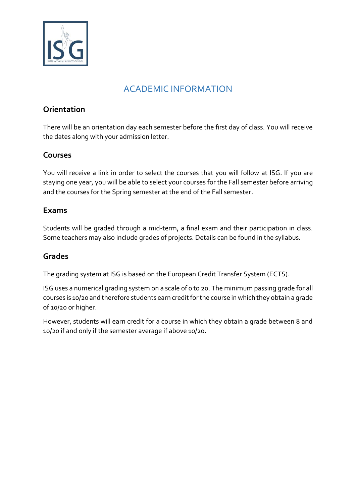

## ACADEMIC INFORMATION

#### <span id="page-7-1"></span><span id="page-7-0"></span>**Orientation**

There will be an orientation day each semester before the first day of class. You will receive the dates along with your admission letter.

#### <span id="page-7-2"></span>**Courses**

You will receive a link in order to select the courses that you will follow at ISG. If you are staying one year, you will be able to select your courses for the Fall semester before arriving and the courses for the Spring semester at the end of the Fall semester.

#### <span id="page-7-3"></span>**Exams**

Students will be graded through a mid-term, a final exam and their participation in class. Some teachers may also include grades of projects. Details can be found in the syllabus.

#### <span id="page-7-4"></span>**Grades**

The grading system at ISG is based on the European Credit Transfer System (ECTS).

ISG uses a numerical grading system on a scale of 0 to 20. The minimum passing grade for all courses is 10/20 and therefore students earn credit for the course in which they obtain a grade of 10/20 or higher.

However, students will earn credit for a course in which they obtain a grade between 8 and 10/20 if and only if the semester average if above 10/20.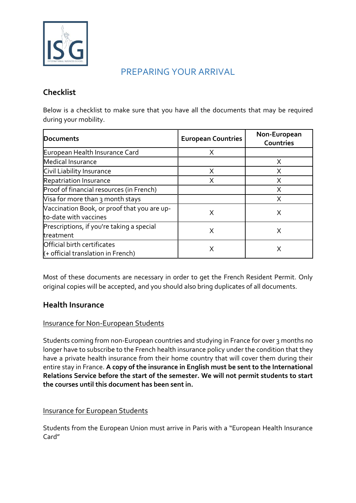

## PREPARING YOUR ARRIVAL

#### <span id="page-8-1"></span><span id="page-8-0"></span>**Checklist**

Below is a checklist to make sure that you have all the documents that may be required during your mobility.

| Documents                                                            | <b>European Countries</b> | Non-European<br>Countries |
|----------------------------------------------------------------------|---------------------------|---------------------------|
| European Health Insurance Card                                       | X                         |                           |
| Medical Insurance                                                    |                           | X                         |
| Civil Liability Insurance                                            | X                         | X                         |
| Repatriation Insurance                                               | Χ                         | X                         |
| Proof of financial resources (in French)                             |                           | X                         |
| Visa for more than 3 month stays                                     |                           | X                         |
| Vaccination Book, or proof that you are up-<br>to-date with vaccines | X                         | X                         |
| Prescriptions, if you're taking a special<br>treatment               | X                         | X                         |
| Official birth certificates<br>$($ + official translation in French) | Χ                         |                           |

Most of these documents are necessary in order to get the French Resident Permit. Only original copies will be accepted, and you should also bring duplicates of all documents.

#### <span id="page-8-2"></span>**Health Insurance**

#### <span id="page-8-3"></span>Insurance for Non-European Students

Students coming from non-European countries and studying in France for over 3 months no longer have to subscribe to the French health insurance policy under the condition that they have a private health insurance from their home country that will cover them during their entire stay in France. **A copy of the insurance in English must be sent to the International Relations Service before the start of the semester. We will not permit students to start the courses until this document has been sent in.**

#### <span id="page-8-4"></span>Insurance for European Students

Students from the European Union must arrive in Paris with a "European Health Insurance Card"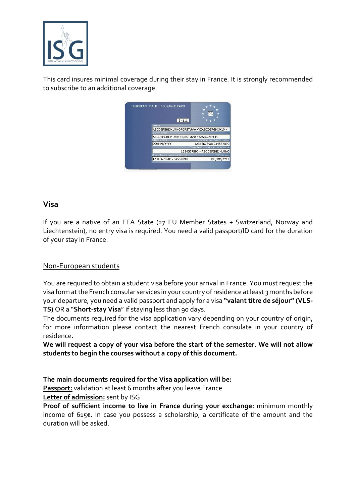

This card insures minimal coverage during their stay in France. It is strongly recommended to subscribe to an additional coverage.

|                                          | CC                                         |
|------------------------------------------|--------------------------------------------|
| $E - 111$                                |                                            |
| 3 Name                                   |                                            |
| ABCDEFGHIJKLMNOPQRSTUVWXYZABCDEFGHIJKLMN |                                            |
| 4 Given names                            |                                            |
| ABCDEFGHIJKLMNOPORSTUVWXYZABCDEFGHI      |                                            |
| Date of birth                            | 6 Personal identification number           |
| DD/MM/YYYY                               | 12345678901234567890                       |
|                                          | 7 Identification number of the institution |
|                                          | 1234567890 - ABCDEFGHIJKLMNO               |
| 8 Identification number of the card      | 9 Expiry date                              |
| 12345678901234567890                     | DD/MM/YYYY                                 |

#### <span id="page-9-0"></span>**Visa**

If you are a native of an EEA State (27 EU Member States + Switzerland, Norway and Liechtenstein), no entry visa is required. You need a valid passport/ID card for the duration of your stay in France.

#### <span id="page-9-1"></span>Non-European students

You are required to obtain a student visa before your arrival in France. You must request the visa form at the French consular services in your country of residence at least 3 months before your departure, you need a valid passport and apply for a visa **"valant titre de séjour" (VLS-TS)** OR a "**Short-stay Visa**" if staying less than 90 days.

The documents required for the visa application vary depending on your country of origin, for more information please contact the nearest French consulate in your country of residence.

**We will request a copy of your visa before the start of the semester. We will not allow students to begin the courses without a copy of this document.** 

**The main documents required for the Visa application will be:** 

**Passport:** validation at least 6 months after you leave France

**Letter of admission:** sent by ISG

**Proof of sufficient income to live in France during your exchange:** minimum monthly income of 615€. In case you possess a scholarship, a certificate of the amount and the duration will be asked.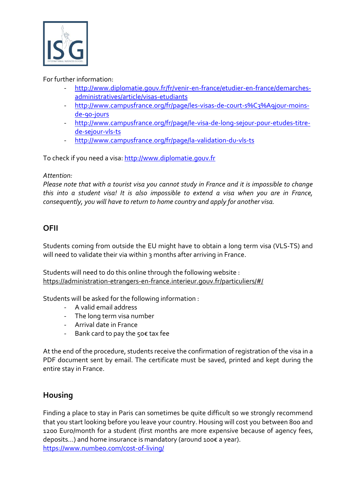

#### For further information:

- [http://www.diplomatie.gouv.fr/fr/venir-en-france/etudier-en-france/demarches](http://www.diplomatie.gouv.fr/fr/venir-en-france/etudier-en-france/demarches-administratives/article/visas-etudiants)[administratives/article/visas-etudiants](http://www.diplomatie.gouv.fr/fr/venir-en-france/etudier-en-france/demarches-administratives/article/visas-etudiants)
- [http://www.campusfrance.org/fr/page/les-visas-de-court-s%C3%A9jour-moins](http://www.campusfrance.org/fr/page/les-visas-de-court-s%C3%A9jour-moins-de-90-jours)[de-90-jours](http://www.campusfrance.org/fr/page/les-visas-de-court-s%C3%A9jour-moins-de-90-jours)
- [http://www.campusfrance.org/fr/page/le-visa-de-long-sejour-pour-etudes-titre](http://www.campusfrance.org/fr/page/le-visa-de-long-sejour-pour-etudes-titre-de-sejour-vls-ts)[de-sejour-vls-ts](http://www.campusfrance.org/fr/page/le-visa-de-long-sejour-pour-etudes-titre-de-sejour-vls-ts)
- <http://www.campusfrance.org/fr/page/la-validation-du-vls-ts>

To check if you need a visa: [http://www.diplomatie.gouv.fr](http://www.diplomatie.gouv.fr/)

#### *Attention:*

*Please note that with a tourist visa you cannot study in France and it is impossible to change this into a student visa! It is also impossible to extend a visa when you are in France, consequently, you will have to return to home country and apply for another visa.*

#### <span id="page-10-0"></span>**OFII**

Students coming from outside the EU might have to obtain a long term visa (VLS-TS) and will need to validate their via within 3 months after arriving in France.

Students will need to do this online through the following website : https://administration-etrangers-en-france.interieur.gouv.fr/particuliers/#/

Students will be asked for the following information :

- A valid email address
- The long term visa number
- Arrival date in France
- Bank card to pay the 50€ tax fee

At the end of the procedure, students receive the confirmation of registration of the visa in a PDF document sent by email. The certificate must be saved, printed and kept during the entire stay in France.

#### <span id="page-10-1"></span>**Housing**

Finding a place to stay in Paris can sometimes be quite difficult so we strongly recommend that you start looking before you leave your country. Housing will cost you between 800 and 1200 Euro/month for a student (first months are more expensive because of agency fees, deposits…) and home insurance is mandatory (around 100€ a year). <https://www.numbeo.com/cost-of-living/>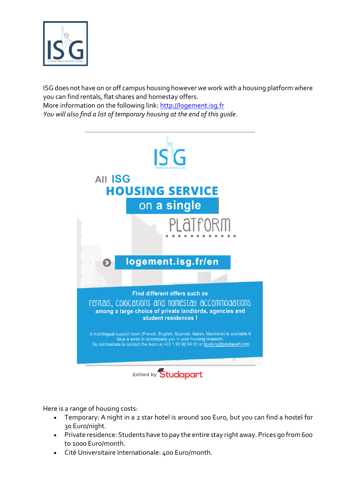

ISG does not have on or off campus housing however we work with a housing platform where you can find rentals, flat shares and homestay offers. More information on the following link: [http://logement.isg.fr](http://logement.isg.fr/) *You will also find a list of temporary housing at the end of this guide.* 

> **AII ISG HOUSING SERVICE** on a single logement.isg.fr/en Find different offers such as rentals, colocations and homestay accommodations among a large choice of private landlords, agencies and student residences ! A multilingual support team (French, English, Spanish, Italian, Mandarin) is available 6 days a week to accompany you in your housing research.<br>Do not hesitate to contact the team at +33 1 80 92 64 01 or booking@studapart.com Edited by **Studapart**

Here is a range of housing costs:

- Temporary: A night in a 2 star hotel is around 100 Euro, but you can find a hostel for 30 Euro/night.
- Private residence: Students have to pay the entire stay right away. Prices go from 600 to 1000 Euro/month.
- Cité Universitaire Internationale: 400 Euro/month.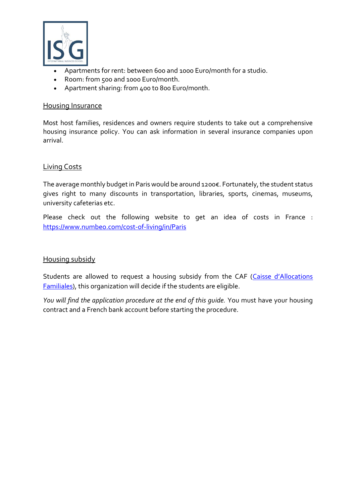

- Apartments for rent: between 600 and 1000 Euro/month for a studio.
- Room: from 500 and 1000 Euro/month.
- Apartment sharing: from 400 to 800 Euro/month.

#### <span id="page-12-0"></span>Housing Insurance

Most host families, residences and owners require students to take out a comprehensive housing insurance policy. You can ask information in several insurance companies upon arrival.

#### <span id="page-12-1"></span>Living Costs

The average monthly budget in Paris would be around 1200€. Fortunately, the student status gives right to many discounts in transportation, libraries, sports, cinemas, museums, university cafeterias etc.

Please check out the following website to get an idea of costs in France : <https://www.numbeo.com/cost-of-living/in/Paris>

#### <span id="page-12-2"></span>Housing subsidy

Students are allowed to request a housing subsidy from the CAF (Caisse d'Allocations [Familiales\)](https://www.caf.fr/), this organization will decide if the students are eligible.

*You will find the application procedure at the end of this guide.* You must have your housing contract and a French bank account before starting the procedure.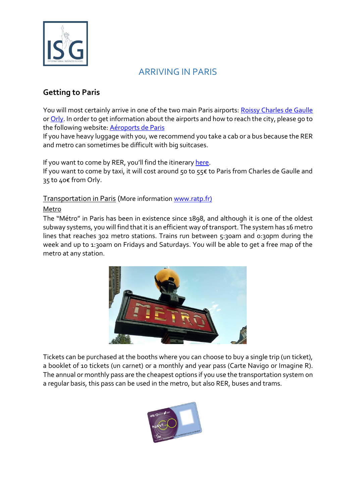

## ARRIVING IN PARIS

#### <span id="page-13-1"></span><span id="page-13-0"></span>**Getting to Paris**

You will most certainly arrive in one of the two main Paris airports: [Roissy Charles de Gaulle](https://www.google.fr/maps?dcr=0&q=roissy+charles+de+gaulle&um=1&ie=UTF-8&sa=X&ved=0ahUKEwjzss6avOnZAhWBLRQKHfFdAe8Q_AUICigB) o[r Orly.](https://www.google.fr/maps/place/A%C3%A9roport+de+Paris-Orly/@48.7262433,2.3630585,17z/data=!3m1!4b1!4m5!3m4!1s0x47e675b1fa6a3b1d:0x9d78ded743db8422!8m2!3d48.7262433!4d2.3652472?dcr=0) In order to get information about the airports and how to reach the city, please go to the following website: [Aéroports de Paris](http://www.aeroportsdeparis.fr/Adp/en-GB/Passagers/)

If you have heavy luggage with you, we recommend you take a cab or a bus because the RER and metro can sometimes be difficult with big suitcases.

If you want to come by RER, you'll find the itinerary [here.](https://www.google.fr/maps/dir/Paris-Charles+De+Gaulle+(CDG),+95700+Roissy-en-France/Paris/@48.9332677,2.38663,12z/data=!3m1!4b1!4m14!4m13!1m5!1m1!1s0x47e63e038e4ccf5b:0x42be0982f5ba62c!2m2!1d2.5479245!2d49.0096906!1m5!1m1!1s0x47e66e1f06e2b70f:0x40b82c3688c9460!2m2!1d2.3522219!2d48.856614!3e3)

If you want to come by taxi, it will cost around 50 to 55€ to Paris from Charles de Gaulle and 35 to 40€ from Orly.

#### <span id="page-13-2"></span>Transportation in Paris (More information www.ratp.fr)

#### Metro

The "Métro" in Paris has been in existence since 1898, and although it is one of the oldest subway systems, you will find that it is an efficient way of transport. The system has 16 metro lines that reaches 302 metro stations. Trains run between 5:30am and 0:30pm during the week and up to 1:30am on Fridays and Saturdays. You will be able to get a free map of the metro at any station.



Tickets can be purchased at the booths where you can choose to buy a single trip (un ticket), a booklet of 10 tickets (un carnet) or a monthly and year pass (Carte Navigo or Imagine R). The annual or monthly pass are the cheapest options if you use the transportation system on a regular basis, this pass can be used in the metro, but also RER, buses and trams.

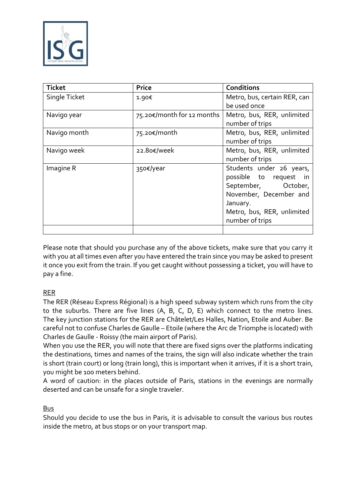

| <b>Ticket</b> | <b>Price</b>               | <b>Conditions</b>            |
|---------------|----------------------------|------------------------------|
| Single Ticket | 1.90€                      | Metro, bus, certain RER, can |
|               |                            | be used once                 |
| Navigo year   | 75.20€/month for 12 months | Metro, bus, RER, unlimited   |
|               |                            | number of trips              |
| Navigo month  | 75.20€/month               | Metro, bus, RER, unlimited   |
|               |                            | number of trips              |
| Navigo week   | 22.80€/week                | Metro, bus, RER, unlimited   |
|               |                            | number of trips              |
| Imagine R     | 350€/year                  | Students under 26 years,     |
|               |                            | possible to request in       |
|               |                            | September, October,          |
|               |                            | November, December and       |
|               |                            | January.                     |
|               |                            | Metro, bus, RER, unlimited   |
|               |                            | number of trips              |
|               |                            |                              |

Please note that should you purchase any of the above tickets, make sure that you carry it with you at all times even after you have entered the train since you may be asked to present it once you exit from the train. If you get caught without possessing a ticket, you will have to pay a fine.

#### RER

The RER (Réseau Express Régional) is a high speed subway system which runs from the city to the suburbs. There are five lines  $(A, B, C, D, E)$  which connect to the metro lines. The key junction stations for the RER are Châtelet/Les Halles, Nation, Etoile and Auber. Be careful not to confuse Charles de Gaulle – Etoile (where the Arc de Triomphe is located) with Charles de Gaulle - Roissy (the main airport of Paris).

When you use the RER, you will note that there are fixed signs over the platforms indicating the destinations, times and names of the trains, the sign will also indicate whether the train is short (train court) or long (train long), this is important when it arrives, if it is a short train, you might be 100 meters behind.

A word of caution: in the places outside of Paris, stations in the evenings are normally deserted and can be unsafe for a single traveler.

#### Bus

Should you decide to use the bus in Paris, it is advisable to consult the various bus routes inside the metro, at bus stops or on your transport map.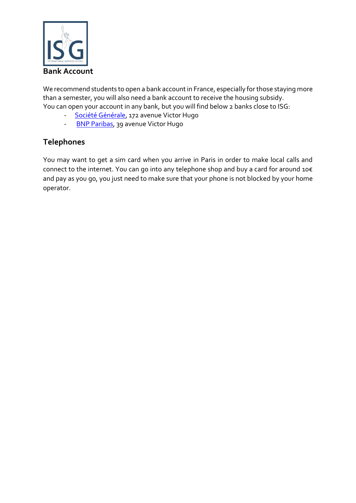

<span id="page-15-0"></span>We recommend students to open a bank account in France, especially for those staying more than a semester, you will also need a bank account to receive the housing subsidy. You can open your account in any bank, but you will find below 2 banks close to ISG:

- [Société Générale,](https://www.google.fr/maps/place/Soci%C3%A9t%C3%A9+G%C3%A9n%C3%A9rale/@48.8665523,2.2747512,17z/data=!4m5!3m4!1s0x0:0xb46b9d2c3ed10297!8m2!3d48.8662135!4d2.2767468) 172 avenue Victor Hugo
- [BNP Paribas,](https://www.google.fr/maps/place/BNP+Paribas+-+Paris+Victor+Hugo/@48.8664387,2.2749362,17z/data=!4m5!3m4!1s0x47e66557e0ed059b:0x7fc976fe119293ea!8m2!3d48.8664387!4d2.2771249) 39 avenue Victor Hugo

#### <span id="page-15-1"></span>**Telephones**

You may want to get a sim card when you arrive in Paris in order to make local calls and connect to the internet. You can go into any telephone shop and buy a card for around 10€ and pay as you go, you just need to make sure that your phone is not blocked by your home operator.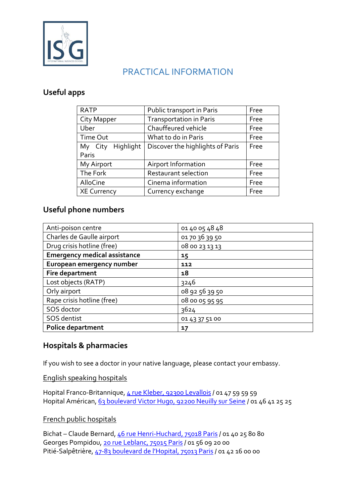![](_page_16_Picture_0.jpeg)

## PRACTICAL INFORMATION

#### <span id="page-16-1"></span><span id="page-16-0"></span>**Useful apps**

| <b>RATP</b>        | Public transport in Paris<br>Free |      |
|--------------------|-----------------------------------|------|
| City Mapper        | <b>Transportation in Paris</b>    | Free |
| Uber               | Chauffeured vehicle               | Free |
| Time Out           | What to do in Paris               | Free |
| My City Highlight  | Discover the highlights of Paris  | Free |
| Paris              |                                   |      |
| My Airport         | Airport Information               | Free |
| The Fork           | Restaurant selection              | Free |
| AlloCine           | Cinema information                | Free |
| <b>XE Currency</b> | Currency exchange                 | Free |

#### <span id="page-16-2"></span>**Useful phone numbers**

| Anti-poison centre                  | 01 40 05 48 48 |
|-------------------------------------|----------------|
| Charles de Gaulle airport           | 01 70 36 39 50 |
| Drug crisis hotline (free)          | 08 00 23 13 13 |
| <b>Emergency medical assistance</b> | 15             |
| European emergency number           | 112            |
| Fire department                     | 18             |
| Lost objects (RATP)                 | 3246           |
| Orly airport                        | 08 92 56 39 50 |
| Rape crisis hotline (free)          | 08 00 05 95 95 |
| SOS doctor                          | 3624           |
| SOS dentist                         | 01 43 37 51 00 |
| Police department                   | 17             |

#### <span id="page-16-3"></span>**Hospitals & pharmacies**

If you wish to see a doctor in your native language, please contact your embassy.

<span id="page-16-4"></span>English speaking hospitals

Hopital Franco-Britannique, [4 rue Kleber, 92300 Levallois](https://www.google.fr/maps?dcr=0&q=4+rue+Kleber,+92300+Levallois&um=1&ie=UTF-8&sa=X&ved=0ahUKEwii0syP3-nZAhVFXRQKHS-NDJ4Q_AUICigB) / 01 47 59 59 59 Hopital Américan, [63 boulevard Victor Hugo, 92200 Neuilly sur Seine](https://www.google.fr/maps/place/63+Boulevard+Victor+Hugo,+92200+Neuilly-sur-Seine/@48.8929341,2.2702985,17z/data=!3m1!4b1!4m5!3m4!1s0x47e665795b8dfb31:0x76380f57c1e4f31c!8m2!3d48.8929341!4d2.2724872?dcr=0) / 01 46 41 25 25

#### <span id="page-16-5"></span>French public hospitals

<span id="page-16-8"></span><span id="page-16-7"></span><span id="page-16-6"></span>Bichat – Claude Bernard[, 46 rue Henri-Huchard, 75018 Paris](https://www.google.fr/maps/place/46+Rue+Henri+Huchard,+75018+Paris/@48.8982197,2.3300467,17z/data=!3m1!4b1!4m5!3m4!1s0x47e66ef8c100ce9d:0xe1bb2625e2eebcd5!8m2!3d48.8982197!4d2.3322354?dcr=0) / 01 40 25 80 80 Georges Pompidou, [20 rue Leblanc, 75015 Paris](https://www.google.fr/maps/place/20+Rue+Leblanc,+75015+Paris/@48.8387325,2.2719121,17z/data=!3m1!4b1!4m5!3m4!1s0x47e67aa047551c6b:0x115859d66de83d!8m2!3d48.8387325!4d2.2741008?dcr=0) / 01 56 09 20 00 Pitié-Salpêtrière, 47-[83 boulevard de l'Hopital, 75013 Paris](https://www.google.fr/maps/place/47+Boulevard+de+l) / 01 42 16 00 00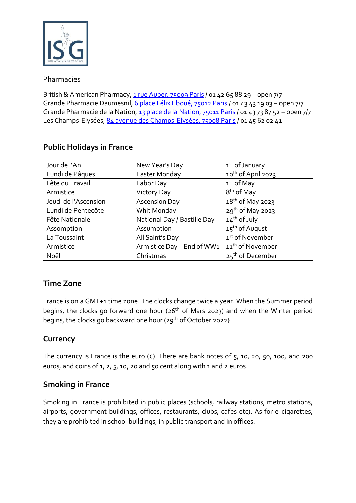![](_page_17_Picture_0.jpeg)

#### <span id="page-17-0"></span>Pharmacies

<span id="page-17-4"></span><span id="page-17-3"></span><span id="page-17-2"></span><span id="page-17-1"></span>British & American Pharmacy,  $\frac{1 \text{ true }$  Auber, 75009 Paris / 01 42 65 88 29 - open 7/7 Grande Pharmacie Daumesnil, [6 place Félix Eboué, 75012 Paris](https://www.google.fr/maps/place/6+Place+F%C3%A9lix+Ebou%C3%A9,+75012+Paris/@48.8390637,2.3933769,17z/data=!3m1!4b1!4m5!3m4!1s0x47e672693c8b0753:0x87ed0dc78e015640!8m2!3d48.8390637!4d2.3955656?dcr=0) / 01 43 43 19 03 – open 7/7 Grande Pharmacie de la Nation[, 13 place de la Nation, 75011 Paris](https://www.google.fr/maps/place/13+Place+de+la+Nation,+75011+Paris/@48.8490415,2.395243,17z/data=!3m1!4b1!4m5!3m4!1s0x47e67270df034e69:0xdca3587d861bd75b!8m2!3d48.8490415!4d2.3974317?dcr=0) / 01 43 73 87 52 - open 7/7 Les Champs-Elysées, [84 avenue des Champs-Elysées, 75008 Paris](https://www.google.fr/maps/place/84+Av.+des+Champs-%C3%89lys%C3%A9es,+75008+Paris/@48.8714848,2.3015999,17z/data=!3m1!4b1!4m5!3m4!1s0x47e66fc3cb26d1df:0xce26ef82dea3678c!8m2!3d48.8714848!4d2.3037886?dcr=0) / 01 45 62 02 41

| Jour de l'An         | New Year's Day              | 1 <sup>st</sup> of January   |
|----------------------|-----------------------------|------------------------------|
| Lundi de Pâques      | Easter Monday               | $10^{th}$ of April 2023      |
| Fête du Travail      | Labor Day                   | $1st$ of May                 |
| Armistice            | <b>Victory Day</b>          | 8 <sup>th</sup> of May       |
| Jeudi de l'Ascension | <b>Ascension Day</b>        | $18th$ of May 2023           |
| Lundi de Pentecôte   | Whit Monday                 | 29 <sup>th</sup> of May 2023 |
| Fête Nationale       | National Day / Bastille Day | $14$ <sup>th</sup> of July   |
| Assomption           | Assumption                  | 15 <sup>th</sup> of August   |
| La Toussaint         | All Saint's Day             | 1 <sup>st</sup> of November  |
| Armistice            | Armistice Day - End of WW1  | 11 <sup>th</sup> of November |
| Noël                 | Christmas                   | 25 <sup>th</sup> of December |

#### <span id="page-17-5"></span>**Public Holidays in France**

#### <span id="page-17-6"></span>**Time Zone**

France is on a GMT+1 time zone. The clocks change twice a year. When the Summer period begins, the clocks go forward one hour (26<sup>th</sup> of Mars 2023) and when the Winter period begins, the clocks go backward one hour ( $29<sup>th</sup>$  of October 2022)

#### <span id="page-17-7"></span>**Currency**

The currency is France is the euro  $(\epsilon)$ . There are bank notes of 5, 10, 20, 50, 100, and 200 euros, and coins of  $1$ ,  $2$ ,  $5$ , 10, 20 and 50 cent along with 1 and 2 euros.

#### <span id="page-17-8"></span>**Smoking in France**

Smoking in France is prohibited in public places (schools, railway stations, metro stations, airports, government buildings, offices, restaurants, clubs, cafes etc). As for e-cigarettes, they are prohibited in school buildings, in public transport and in offices.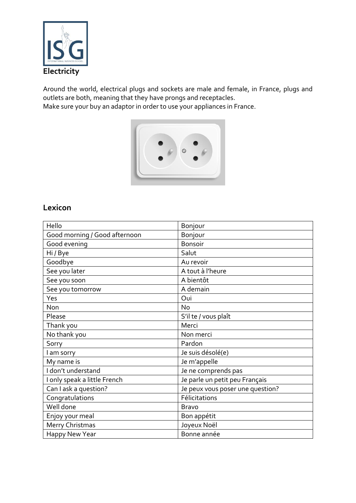![](_page_18_Picture_0.jpeg)

<span id="page-18-0"></span>Around the world, electrical plugs and sockets are male and female, in France, plugs and outlets are both, meaning that they have prongs and receptacles. Make sure your buy an adaptor in order to use your appliances in France.

![](_page_18_Picture_2.jpeg)

#### <span id="page-18-1"></span>**Lexicon**

| Hello                         | Bonjour                          |
|-------------------------------|----------------------------------|
| Good morning / Good afternoon | Bonjour                          |
| Good evening                  | <b>Bonsoir</b>                   |
| Hi / Bye                      | Salut                            |
| Goodbye                       | Au revoir                        |
| See you later                 | A tout à l'heure                 |
| See you soon                  | A bientôt                        |
| See you tomorrow              | A demain                         |
| Yes                           | Oui                              |
| <b>Non</b>                    | <b>No</b>                        |
| Please                        | S'il te / vous plaît             |
| Thank you                     | Merci                            |
| No thank you                  | Non merci                        |
| Sorry                         | Pardon                           |
| I am sorry                    | Je suis désolé(e)                |
| My name is                    | Je m'appelle                     |
| I don't understand            | Je ne comprends pas              |
| I only speak a little French  | Je parle un petit peu Français   |
| Can I ask a question?         | Je peux vous poser une question? |
| Congratulations               | Félicitations                    |
| Well done                     | <b>Bravo</b>                     |
| Enjoy your meal               | Bon appétit                      |
| Merry Christmas               | Joyeux Noël                      |
| Happy New Year                | Bonne année                      |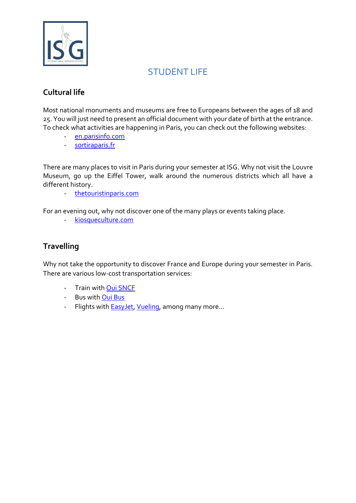![](_page_19_Picture_0.jpeg)

## STUDENT LIFE

### <span id="page-19-1"></span><span id="page-19-0"></span>**Cultural life**

Most national monuments and museums are free to Europeans between the ages of 18 and 25. You will just need to present an official document with your date of birth at the entrance. To check what activities are happening in Paris, you can check out the following websites:

- [en.parisinfo.com](https://en.parisinfo.com/)
- [sortiraparis.fr](https://www.sortiraparis.com/)

There are many places to visit in Paris during your semester at ISG. Why not visit the Louvre Museum, go up the Eiffel Tower, walk around the numerous districts which all have a different history.

- [thetouristinparis.com](http://thetouristinparis.com/paris/en/)

For an evening out, why not discover one of the many plays or events taking place.

- [kiosqueculture.com](http://www.kiosqueculture.com/)

#### <span id="page-19-2"></span>**Travelling**

Why not take the opportunity to discover France and Europe during your semester in Paris. There are various low-cost transportation services:

- Train wit[h Oui SNCF](https://en.oui.sncf/en/)
- Bus with [Oui Bus](https://www.ouibus.com/)
- Flights with **EasyJet, [Vueling](http://www.vueling.com/en)**, among many more...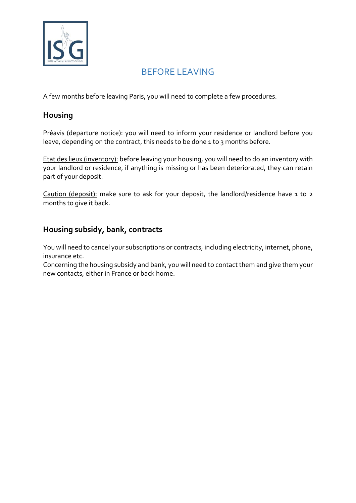![](_page_20_Picture_0.jpeg)

## BEFORE LEAVING

<span id="page-20-0"></span>A few months before leaving Paris, you will need to complete a few procedures.

#### <span id="page-20-1"></span>**Housing**

Préavis (departure notice): you will need to inform your residence or landlord before you leave, depending on the contract, this needs to be done 1 to 3 months before.

Etat des lieux (inventory): before leaving your housing, you will need to do an inventory with your landlord or residence, if anything is missing or has been deteriorated, they can retain part of your deposit.

Caution (deposit): make sure to ask for your deposit, the landlord/residence have 1 to 2 months to give it back.

#### <span id="page-20-2"></span>**Housing subsidy, bank, contracts**

You will need to cancel your subscriptions or contracts, including electricity, internet, phone, insurance etc.

Concerning the housing subsidy and bank, you will need to contact them and give them your new contacts, either in France or back home.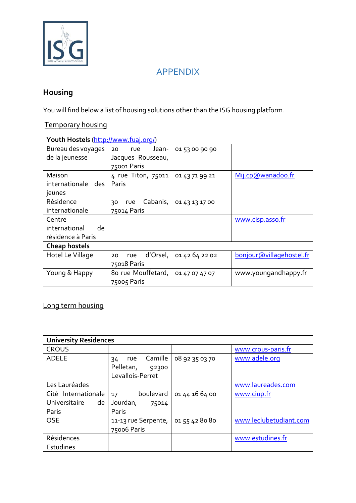![](_page_21_Picture_0.jpeg)

## APPENDIX

## <span id="page-21-1"></span><span id="page-21-0"></span>**Housing**

You will find below a list of housing solutions other than the ISG housing platform.

<span id="page-21-2"></span>Temporary housing

| Youth Hostels (http://www.fuaj.org/) |                       |                |                          |
|--------------------------------------|-----------------------|----------------|--------------------------|
| Bureau des voyages                   | Jean-<br>20<br>rue    | 01 53 00 90 90 |                          |
| de la jeunesse                       | Jacques Rousseau,     |                |                          |
|                                      | 75001 Paris           |                |                          |
| Maison                               | 4 rue Titon, 75011    | 01 43 71 99 21 | Mij.cp@wanadoo.fr        |
| internationale des                   | Paris                 |                |                          |
| jeunes                               |                       |                |                          |
| Résidence                            | Cabanis,<br>rue<br>30 | 01 43 13 17 00 |                          |
| internationale                       | 75014 Paris           |                |                          |
| Centre                               |                       |                | www.cisp.asso.fr         |
| international<br>de                  |                       |                |                          |
| résidence à Paris                    |                       |                |                          |
| <b>Cheap hostels</b>                 |                       |                |                          |
| Hotel Le Village                     | d'Orsel,<br>rue<br>20 | 01 42 64 22 02 | bonjour@villagehostel.fr |
|                                      | 75018 Paris           |                |                          |
| Young & Happy                        | 80 rue Mouffetard,    | 01 47 07 47 07 | www.youngandhappy.fr     |
|                                      | 75005 Paris           |                |                          |

### <span id="page-21-3"></span>Long term housing

| <b>University Residences</b> |                                                                |                |                        |
|------------------------------|----------------------------------------------------------------|----------------|------------------------|
| <b>CROUS</b>                 |                                                                |                | www.crous-paris.fr     |
| <b>ADELE</b>                 | Camille<br>rue<br>34<br>Pelletan,<br>92300<br>Levallois-Perret | 08 92 35 03 70 | www.adele.org          |
| Les Lauréades                |                                                                |                | www.laureades.com      |
| Cité Internationale          | boulevard<br>17                                                | 01 44 16 64 00 | www.ciup.fr            |
| Universitaire<br>de          | Jourdan,<br>75014                                              |                |                        |
| Paris                        | Paris                                                          |                |                        |
| <b>OSE</b>                   | 11-13 rue Serpente,<br>75006 Paris                             | 01 55 42 80 80 | www.leclubetudiant.com |
| Résidences                   |                                                                |                | www.estudines.fr       |
| Estudines                    |                                                                |                |                        |